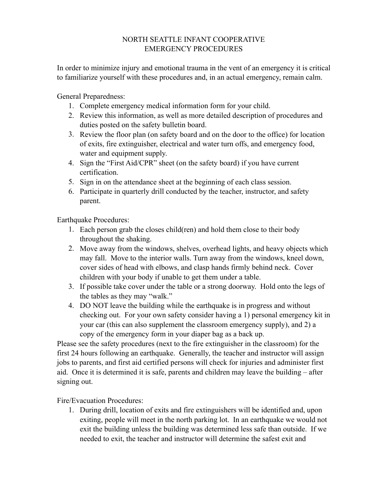## NORTH SEATTLE INFANT COOPERATIVE EMERGENCY PROCEDURES

In order to minimize injury and emotional trauma in the vent of an emergency it is critical to familiarize yourself with these procedures and, in an actual emergency, remain calm.

General Preparedness:

- 1. Complete emergency medical information form for your child.
- 2. Review this information, as well as more detailed description of procedures and duties posted on the safety bulletin board.
- 3. Review the floor plan (on safety board and on the door to the office) for location of exits, fire extinguisher, electrical and water turn offs, and emergency food, water and equipment supply.
- 4. Sign the "First Aid/CPR" sheet (on the safety board) if you have current certification.
- 5. Sign in on the attendance sheet at the beginning of each class session.
- 6. Participate in quarterly drill conducted by the teacher, instructor, and safety parent.

Earthquake Procedures:

- 1. Each person grab the closes child(ren) and hold them close to their body throughout the shaking.
- 2. Move away from the windows, shelves, overhead lights, and heavy objects which may fall. Move to the interior walls. Turn away from the windows, kneel down, cover sides of head with elbows, and clasp hands firmly behind neck. Cover children with your body if unable to get them under a table.
- 3. If possible take cover under the table or a strong doorway. Hold onto the legs of the tables as they may "walk."
- 4. DO NOT leave the building while the earthquake is in progress and without checking out. For your own safety consider having a 1) personal emergency kit in your car (this can also supplement the classroom emergency supply), and 2) a copy of the emergency form in your diaper bag as a back up.

Please see the safety procedures (next to the fire extinguisher in the classroom) for the first 24 hours following an earthquake. Generally, the teacher and instructor will assign jobs to parents, and first aid certified persons will check for injuries and administer first aid. Once it is determined it is safe, parents and children may leave the building – after signing out.

Fire/Evacuation Procedures:

1. During drill, location of exits and fire extinguishers will be identified and, upon exiting, people will meet in the north parking lot. In an earthquake we would not exit the building unless the building was determined less safe than outside. If we needed to exit, the teacher and instructor will determine the safest exit and